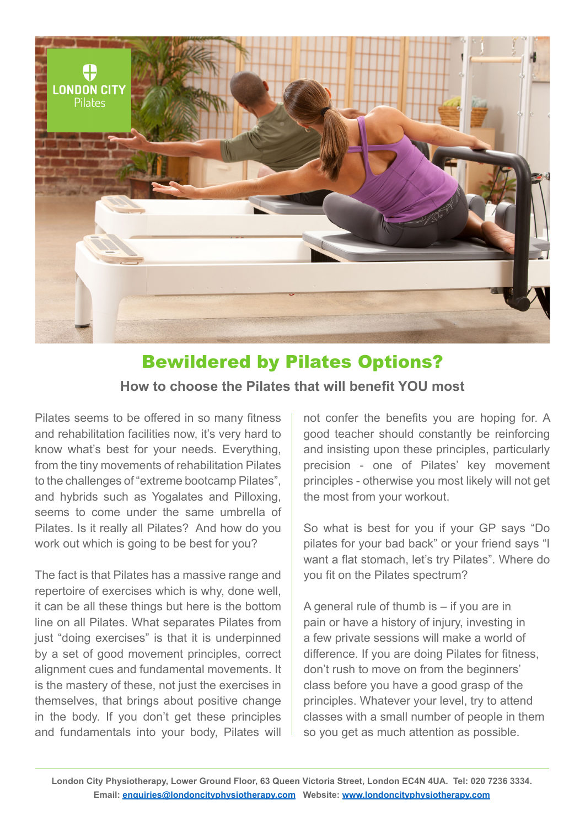

# Bewildered by Pilates Options?

## **How to choose the Pilates that will benefit YOU most**

Pilates seems to be offered in so many fitness and rehabilitation facilities now, it's very hard to know what's best for your needs. Everything, from the tiny movements of rehabilitation Pilates to the challenges of "extreme bootcamp Pilates", and hybrids such as Yogalates and Pilloxing, seems to come under the same umbrella of Pilates. Is it really all Pilates? And how do you work out which is going to be best for you?

The fact is that Pilates has a massive range and repertoire of exercises which is why, done well, it can be all these things but here is the bottom line on all Pilates. What separates Pilates from just "doing exercises" is that it is underpinned by a set of good movement principles, correct alignment cues and fundamental movements. It is the mastery of these, not just the exercises in themselves, that brings about positive change in the body. If you don't get these principles and fundamentals into your body, Pilates will not confer the benefits you are hoping for. A good teacher should constantly be reinforcing and insisting upon these principles, particularly precision - one of Pilates' key movement principles - otherwise you most likely will not get the most from your workout.

So what is best for you if your GP says "Do pilates for your bad back" or your friend says "I want a flat stomach, let's try Pilates". Where do you fit on the Pilates spectrum?

A general rule of thumb is – if you are in pain or have a history of injury, investing in a few private sessions will make a world of difference. If you are doing Pilates for fitness, don't rush to move on from the beginners' class before you have a good grasp of the principles. Whatever your level, try to attend classes with a small number of people in them so you get as much attention as possible.

**London City Physiotherapy, Lower Ground Floor, 63 Queen Victoria Street, London EC4N 4UA. Tel: 020 7236 3334. Email: enquiries@londoncityphysiotherapy.com Website: www.londoncityphysiotherapy.com**